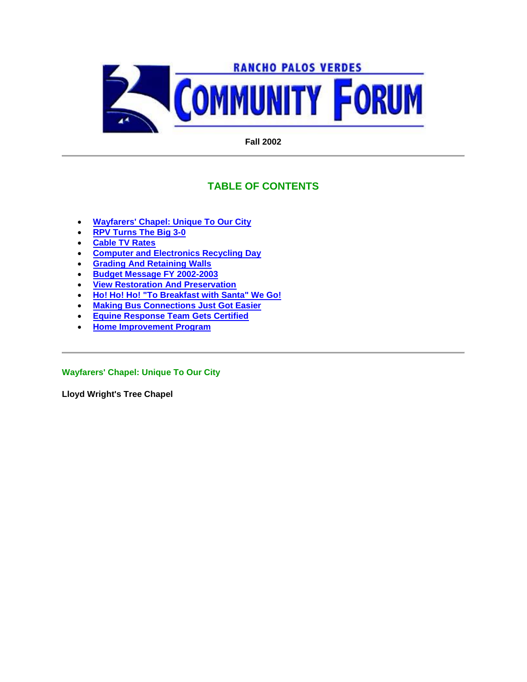

**Fall 2002**

# **TABLE OF CONTENTS**

- **Wayfarers' Chapel: Unique To Our City**
- **RPV Turns The Big 3-0**
- **Cable TV Rates**
- **Computer and Electronics Recycling Day**
- **Grading And Retaining Walls**
- **Budget Message FY 2002-2003**
- **View Restoration And Preservation**
- **Ho! Ho! Ho! "To Breakfast with Santa" We Go!**
- **Making Bus Connections Just Got Easier**
- **Equine Response Team Gets Certified**
- **Home Improvement Program**

## **Wayfarers' Chapel: Unique To Our City**

**Lloyd Wright's Tree Chapel**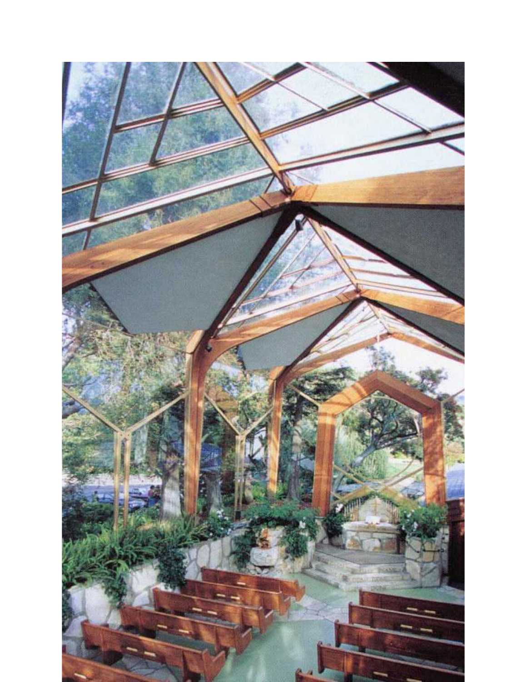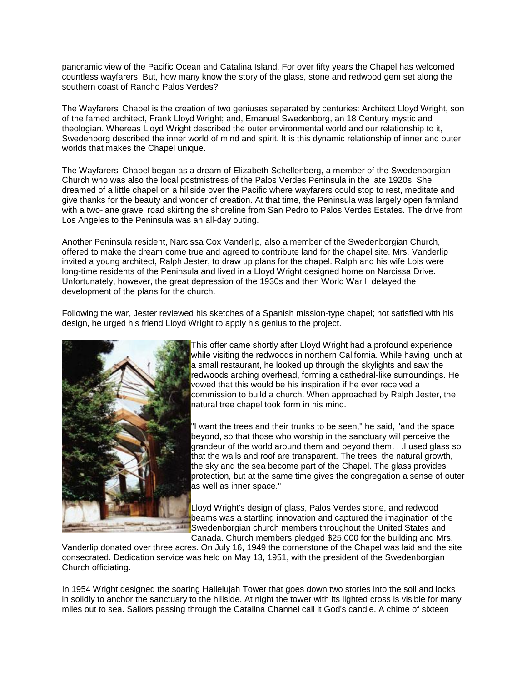panoramic view of the Pacific Ocean and Catalina Island. For over fifty years the Chapel has welcomed countless wayfarers. But, how many know the story of the glass, stone and redwood gem set along the southern coast of Rancho Palos Verdes?

The Wayfarers' Chapel is the creation of two geniuses separated by centuries: Architect Lloyd Wright, son of the famed architect, Frank Lloyd Wright; and, Emanuel Swedenborg, an 18 Century mystic and theologian. Whereas Lloyd Wright described the outer environmental world and our relationship to it, Swedenborg described the inner world of mind and spirit. It is this dynamic relationship of inner and outer worlds that makes the Chapel unique.

The Wayfarers' Chapel began as a dream of Elizabeth Schellenberg, a member of the Swedenborgian Church who was also the local postmistress of the Palos Verdes Peninsula in the late 1920s. She dreamed of a little chapel on a hillside over the Pacific where wayfarers could stop to rest, meditate and give thanks for the beauty and wonder of creation. At that time, the Peninsula was largely open farmland with a two-lane gravel road skirting the shoreline from San Pedro to Palos Verdes Estates. The drive from Los Angeles to the Peninsula was an all-day outing.

Another Peninsula resident, Narcissa Cox Vanderlip, also a member of the Swedenborgian Church, offered to make the dream come true and agreed to contribute land for the chapel site. Mrs. Vanderlip invited a young architect, Ralph Jester, to draw up plans for the chapel. Ralph and his wife Lois were long-time residents of the Peninsula and lived in a Lloyd Wright designed home on Narcissa Drive. Unfortunately, however, the great depression of the 1930s and then World War II delayed the development of the plans for the church.

Following the war, Jester reviewed his sketches of a Spanish mission-type chapel; not satisfied with his design, he urged his friend Lloyd Wright to apply his genius to the project.



This offer came shortly after Lloyd Wright had a profound experience while visiting the redwoods in northern California. While having lunch at a small restaurant, he looked up through the skylights and saw the redwoods arching overhead, forming a cathedral-like surroundings. He vowed that this would be his inspiration if he ever received a commission to build a church. When approached by Ralph Jester, the natural tree chapel took form in his mind.

"I want the trees and their trunks to be seen," he said, "and the space beyond, so that those who worship in the sanctuary will perceive the grandeur of the world around them and beyond them. . .I used glass so that the walls and roof are transparent. The trees, the natural growth, the sky and the sea become part of the Chapel. The glass provides protection, but at the same time gives the congregation a sense of outer as well as inner space."

Lloyd Wright's design of glass, Palos Verdes stone, and redwood beams was a startling innovation and captured the imagination of the Swedenborgian church members throughout the United States and Canada. Church members pledged \$25,000 for the building and Mrs.

Vanderlip donated over three acres. On July 16, 1949 the cornerstone of the Chapel was laid and the site consecrated. Dedication service was held on May 13, 1951, with the president of the Swedenborgian Church officiating.

In 1954 Wright designed the soaring Hallelujah Tower that goes down two stories into the soil and locks in solidly to anchor the sanctuary to the hillside. At night the tower with its lighted cross is visible for many miles out to sea. Sailors passing through the Catalina Channel call it God's candle. A chime of sixteen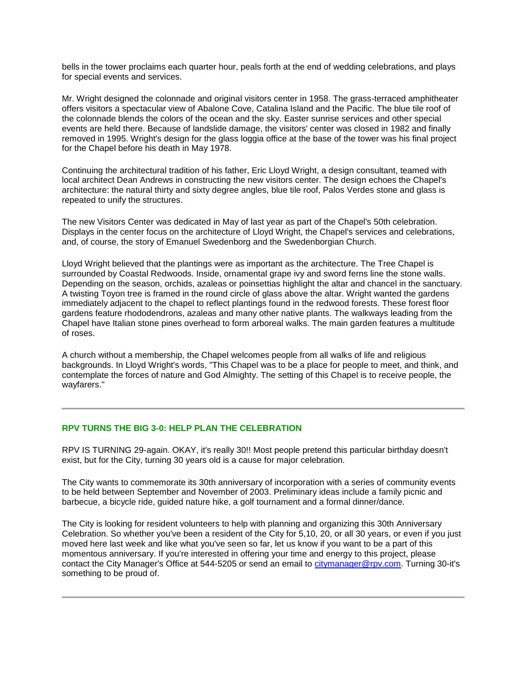bells in the tower proclaims each quarter hour, peals forth at the end of wedding celebrations, and plays for special events and services.

Mr. Wright designed the colonnade and original visitors center in 1958. The grass-terraced amphitheater offers visitors a spectacular view of Abalone Cove, Catalina Island and the Pacific. The blue tile roof of the colonnade blends the colors of the ocean and the sky. Easter sunrise services and other special events are held there. Because of landslide damage, the visitors' center was closed in 1982 and finally removed in 1995. Wright's design for the glass loggia office at the base of the tower was his final project for the Chapel before his death in May 1978.

Continuing the architectural tradition of his father, Eric Lloyd Wright, a design consultant, teamed with local architect Dean Andrews in constructing the new visitors center. The design echoes the Chapel's architecture: the natural thirty and sixty degree angles, blue tile roof, Palos Verdes stone and glass is repeated to unify the structures.

The new Visitors Center was dedicated in May of last year as part of the Chapel's 50th celebration. Displays in the center focus on the architecture of Lloyd Wright, the Chapel's services and celebrations, and, of course, the story of Emanuel Swedenborg and the Swedenborgian Church.

Lloyd Wright believed that the plantings were as important as the architecture. The Tree Chapel is surrounded by Coastal Redwoods. Inside, ornamental grape ivy and sword ferns line the stone walls. Depending on the season, orchids, azaleas or poinsettias highlight the altar and chancel in the sanctuary. A twisting Toyon tree is framed in the round circle of glass above the altar. Wright wanted the gardens immediately adjacent to the chapel to reflect plantings found in the redwood forests. These forest floor gardens feature rhododendrons, azaleas and many other native plants. The walkways leading from the Chapel have Italian stone pines overhead to form arboreal walks. The main garden features a multitude of roses.

A church without a membership, the Chapel welcomes people from all walks of life and religious backgrounds. In Lloyd Wright's words, "This Chapel was to be a place for people to meet, and think, and contemplate the forces of nature and God Almighty. The setting of this Chapel is to receive people, the wayfarers."

## **RPV TURNS THE BIG 3-0: HELP PLAN THE CELEBRATION**

RPV IS TURNING 29-again. OKAY, it's really 30!! Most people pretend this particular birthday doesn't exist, but for the City, turning 30 years old is a cause for major celebration.

The City wants to commemorate its 30th anniversary of incorporation with a series of community events to be held between September and November of 2003. Preliminary ideas include a family picnic and barbecue, a bicycle ride, guided nature hike, a golf tournament and a formal dinner/dance.

The City is looking for resident volunteers to help with planning and organizing this 30th Anniversary Celebration. So whether you've been a resident of the City for 5,10, 20, or all 30 years, or even if you just moved here last week and like what you've seen so far, let us know if you want to be a part of this momentous anniversary. If you're interested in offering your time and energy to this project, please contact the City Manager's Office at 544-5205 or send an email to citymanager@rpv.com. Turning 30-it's something to be proud of.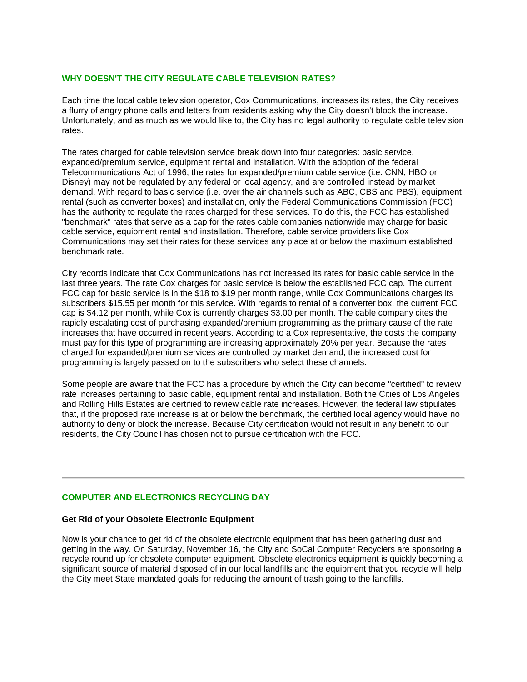## **WHY DOESN'T THE CITY REGULATE CABLE TELEVISION RATES?**

Each time the local cable television operator, Cox Communications, increases its rates, the City receives a flurry of angry phone calls and letters from residents asking why the City doesn't block the increase. Unfortunately, and as much as we would like to, the City has no legal authority to regulate cable television rates.

The rates charged for cable television service break down into four categories: basic service, expanded/premium service, equipment rental and installation. With the adoption of the federal Telecommunications Act of 1996, the rates for expanded/premium cable service (i.e. CNN, HBO or Disney) may not be regulated by any federal or local agency, and are controlled instead by market demand. With regard to basic service (i.e. over the air channels such as ABC, CBS and PBS), equipment rental (such as converter boxes) and installation, only the Federal Communications Commission (FCC) has the authority to regulate the rates charged for these services. To do this, the FCC has established "benchmark" rates that serve as a cap for the rates cable companies nationwide may charge for basic cable service, equipment rental and installation. Therefore, cable service providers like Cox Communications may set their rates for these services any place at or below the maximum established benchmark rate.

City records indicate that Cox Communications has not increased its rates for basic cable service in the last three years. The rate Cox charges for basic service is below the established FCC cap. The current FCC cap for basic service is in the \$18 to \$19 per month range, while Cox Communications charges its subscribers \$15.55 per month for this service. With regards to rental of a converter box, the current FCC cap is \$4.12 per month, while Cox is currently charges \$3.00 per month. The cable company cites the rapidly escalating cost of purchasing expanded/premium programming as the primary cause of the rate increases that have occurred in recent years. According to a Cox representative, the costs the company must pay for this type of programming are increasing approximately 20% per year. Because the rates charged for expanded/premium services are controlled by market demand, the increased cost for programming is largely passed on to the subscribers who select these channels.

Some people are aware that the FCC has a procedure by which the City can become "certified" to review rate increases pertaining to basic cable, equipment rental and installation. Both the Cities of Los Angeles and Rolling Hills Estates are certified to review cable rate increases. However, the federal law stipulates that, if the proposed rate increase is at or below the benchmark, the certified local agency would have no authority to deny or block the increase. Because City certification would not result in any benefit to our residents, the City Council has chosen not to pursue certification with the FCC.

## **COMPUTER AND ELECTRONICS RECYCLING DAY**

### **Get Rid of your Obsolete Electronic Equipment**

Now is your chance to get rid of the obsolete electronic equipment that has been gathering dust and getting in the way. On Saturday, November 16, the City and SoCal Computer Recyclers are sponsoring a recycle round up for obsolete computer equipment. Obsolete electronics equipment is quickly becoming a significant source of material disposed of in our local landfills and the equipment that you recycle will help the City meet State mandated goals for reducing the amount of trash going to the landfills.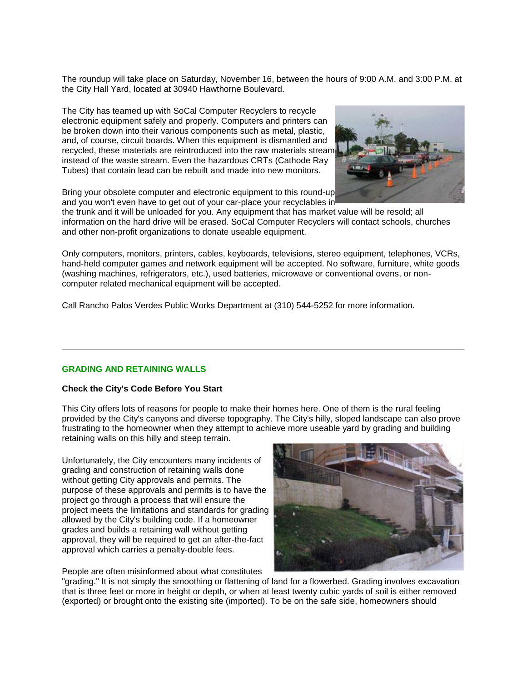The roundup will take place on Saturday, November 16, between the hours of 9:00 A.M. and 3:00 P.M. at the City Hall Yard, located at 30940 Hawthorne Boulevard.

The City has teamed up with SoCal Computer Recyclers to recycle electronic equipment safely and properly. Computers and printers can be broken down into their various components such as metal, plastic, and, of course, circuit boards. When this equipment is dismantled and recycled, these materials are reintroduced into the raw materials stream instead of the waste stream. Even the hazardous CRTs (Cathode Ray Tubes) that contain lead can be rebuilt and made into new monitors.



Bring your obsolete computer and electronic equipment to this round-up and you won't even have to get out of your car-place your recyclables in

the trunk and it will be unloaded for you. Any equipment that has market value will be resold; all information on the hard drive will be erased. SoCal Computer Recyclers will contact schools, churches and other non-profit organizations to donate useable equipment.

Only computers, monitors, printers, cables, keyboards, televisions, stereo equipment, telephones, VCRs, hand-held computer games and network equipment will be accepted. No software, furniture, white goods (washing machines, refrigerators, etc.), used batteries, microwave or conventional ovens, or noncomputer related mechanical equipment will be accepted.

Call Rancho Palos Verdes Public Works Department at (310) 544-5252 for more information.

## **GRADING AND RETAINING WALLS**

#### **Check the City's Code Before You Start**

This City offers lots of reasons for people to make their homes here. One of them is the rural feeling provided by the City's canyons and diverse topography. The City's hilly, sloped landscape can also prove frustrating to the homeowner when they attempt to achieve more useable yard by grading and building retaining walls on this hilly and steep terrain.

Unfortunately, the City encounters many incidents of grading and construction of retaining walls done without getting City approvals and permits. The purpose of these approvals and permits is to have the project go through a process that will ensure the project meets the limitations and standards for grading allowed by the City's building code. If a homeowner grades and builds a retaining wall without getting approval, they will be required to get an after-the-fact approval which carries a penalty-double fees.

People are often misinformed about what constitutes



"grading." It is not simply the smoothing or flattening of land for a flowerbed. Grading involves excavation that is three feet or more in height or depth, or when at least twenty cubic yards of soil is either removed (exported) or brought onto the existing site (imported). To be on the safe side, homeowners should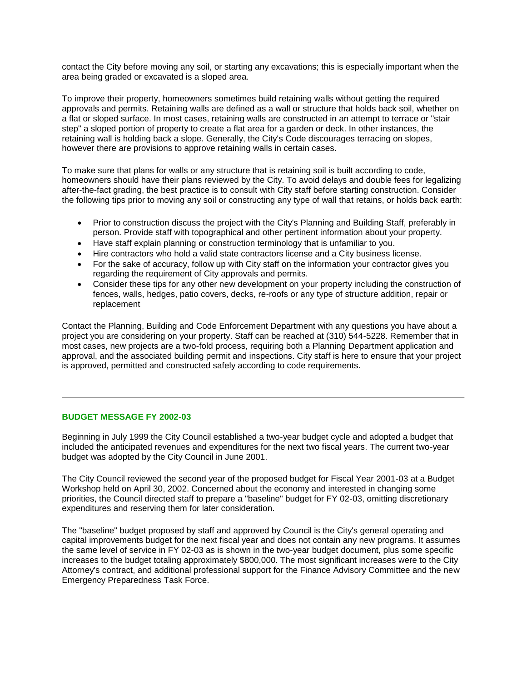contact the City before moving any soil, or starting any excavations; this is especially important when the area being graded or excavated is a sloped area.

To improve their property, homeowners sometimes build retaining walls without getting the required approvals and permits. Retaining walls are defined as a wall or structure that holds back soil, whether on a flat or sloped surface. In most cases, retaining walls are constructed in an attempt to terrace or "stair step" a sloped portion of property to create a flat area for a garden or deck. In other instances, the retaining wall is holding back a slope. Generally, the City's Code discourages terracing on slopes, however there are provisions to approve retaining walls in certain cases.

To make sure that plans for walls or any structure that is retaining soil is built according to code, homeowners should have their plans reviewed by the City. To avoid delays and double fees for legalizing after-the-fact grading, the best practice is to consult with City staff before starting construction. Consider the following tips prior to moving any soil or constructing any type of wall that retains, or holds back earth:

- Prior to construction discuss the project with the City's Planning and Building Staff, preferably in person. Provide staff with topographical and other pertinent information about your property.
- Have staff explain planning or construction terminology that is unfamiliar to you.
- Hire contractors who hold a valid state contractors license and a City business license.
- For the sake of accuracy, follow up with City staff on the information your contractor gives you regarding the requirement of City approvals and permits.
- Consider these tips for any other new development on your property including the construction of fences, walls, hedges, patio covers, decks, re-roofs or any type of structure addition, repair or replacement

Contact the Planning, Building and Code Enforcement Department with any questions you have about a project you are considering on your property. Staff can be reached at (310) 544-5228. Remember that in most cases, new projects are a two-fold process, requiring both a Planning Department application and approval, and the associated building permit and inspections. City staff is here to ensure that your project is approved, permitted and constructed safely according to code requirements.

### **BUDGET MESSAGE FY 2002-03**

Beginning in July 1999 the City Council established a two-year budget cycle and adopted a budget that included the anticipated revenues and expenditures for the next two fiscal years. The current two-year budget was adopted by the City Council in June 2001.

The City Council reviewed the second year of the proposed budget for Fiscal Year 2001-03 at a Budget Workshop held on April 30, 2002. Concerned about the economy and interested in changing some priorities, the Council directed staff to prepare a "baseline" budget for FY 02-03, omitting discretionary expenditures and reserving them for later consideration.

The "baseline" budget proposed by staff and approved by Council is the City's general operating and capital improvements budget for the next fiscal year and does not contain any new programs. It assumes the same level of service in FY 02-03 as is shown in the two-year budget document, plus some specific increases to the budget totaling approximately \$800,000. The most significant increases were to the City Attorney's contract, and additional professional support for the Finance Advisory Committee and the new Emergency Preparedness Task Force.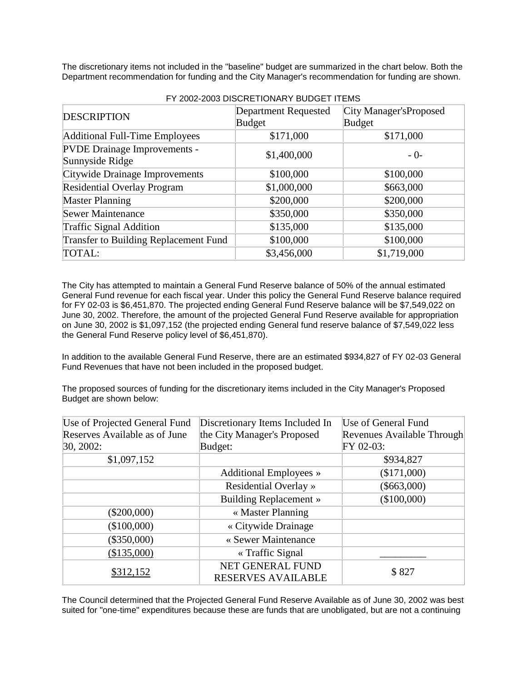The discretionary items not included in the "baseline" budget are summarized in the chart below. Both the Department recommendation for funding and the City Manager's recommendation for funding are shown.

| <b>DESCRIPTION</b>                           | Department Requested | City Manager's Proposed |  |
|----------------------------------------------|----------------------|-------------------------|--|
|                                              | <b>Budget</b>        | <b>Budget</b>           |  |
| <b>Additional Full-Time Employees</b>        | \$171,000            | \$171,000               |  |
| <b>PVDE Drainage Improvements -</b>          | \$1,400,000          | $-0-$                   |  |
| Sunnyside Ridge                              |                      |                         |  |
| Citywide Drainage Improvements               | \$100,000            | \$100,000               |  |
| <b>Residential Overlay Program</b>           | \$1,000,000          | \$663,000               |  |
| <b>Master Planning</b>                       | \$200,000            | \$200,000               |  |
| <b>Sewer Maintenance</b>                     | \$350,000            | \$350,000               |  |
| <b>Traffic Signal Addition</b>               | \$135,000            | \$135,000               |  |
| <b>Transfer to Building Replacement Fund</b> | \$100,000            | \$100,000               |  |
| TOTAL:                                       | \$3,456,000          | \$1,719,000             |  |

FY 2002-2003 DISCRETIONARY BUDGET ITEMS

The City has attempted to maintain a General Fund Reserve balance of 50% of the annual estimated General Fund revenue for each fiscal year. Under this policy the General Fund Reserve balance required for FY 02-03 is \$6,451,870. The projected ending General Fund Reserve balance will be \$7,549,022 on June 30, 2002. Therefore, the amount of the projected General Fund Reserve available for appropriation on June 30, 2002 is \$1,097,152 (the projected ending General fund reserve balance of \$7,549,022 less the General Fund Reserve policy level of \$6,451,870).

In addition to the available General Fund Reserve, there are an estimated \$934,827 of FY 02-03 General Fund Revenues that have not been included in the proposed budget.

The proposed sources of funding for the discretionary items included in the City Manager's Proposed Budget are shown below:

| Use of Projected General Fund | Discretionary Items Included In | Use of General Fund        |
|-------------------------------|---------------------------------|----------------------------|
| Reserves Available as of June | the City Manager's Proposed     | Revenues Available Through |
| $30, 2002$ :                  | Budget:                         | FY 02-03:                  |
| \$1,097,152                   |                                 | \$934,827                  |
|                               | Additional Employees »          | (\$171,000)                |
|                               | Residential Overlay »           | $(\$663,000)$              |
|                               | <b>Building Replacement</b> »   | (\$100,000)                |
| $(\$200,000)$                 | « Master Planning               |                            |
| (\$100,000)                   | « Citywide Drainage             |                            |
| $(\$350,000)$                 | « Sewer Maintenance             |                            |
| (\$135,000)                   | « Traffic Signal                |                            |
| \$312,152                     | NET GENERAL FUND                | \$827                      |
|                               | <b>RESERVES AVAILABLE</b>       |                            |

The Council determined that the Projected General Fund Reserve Available as of June 30, 2002 was best suited for "one-time" expenditures because these are funds that are unobligated, but are not a continuing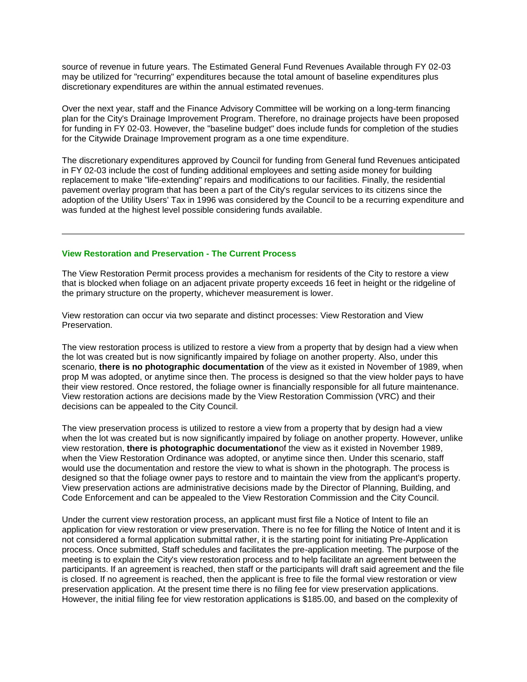source of revenue in future years. The Estimated General Fund Revenues Available through FY 02-03 may be utilized for "recurring" expenditures because the total amount of baseline expenditures plus discretionary expenditures are within the annual estimated revenues.

Over the next year, staff and the Finance Advisory Committee will be working on a long-term financing plan for the City's Drainage Improvement Program. Therefore, no drainage projects have been proposed for funding in FY 02-03. However, the "baseline budget" does include funds for completion of the studies for the Citywide Drainage Improvement program as a one time expenditure.

The discretionary expenditures approved by Council for funding from General fund Revenues anticipated in FY 02-03 include the cost of funding additional employees and setting aside money for building replacement to make "life-extending" repairs and modifications to our facilities. Finally, the residential pavement overlay program that has been a part of the City's regular services to its citizens since the adoption of the Utility Users' Tax in 1996 was considered by the Council to be a recurring expenditure and was funded at the highest level possible considering funds available.

### **View Restoration and Preservation - The Current Process**

The View Restoration Permit process provides a mechanism for residents of the City to restore a view that is blocked when foliage on an adjacent private property exceeds 16 feet in height or the ridgeline of the primary structure on the property, whichever measurement is lower.

View restoration can occur via two separate and distinct processes: View Restoration and View Preservation.

The view restoration process is utilized to restore a view from a property that by design had a view when the lot was created but is now significantly impaired by foliage on another property. Also, under this scenario, **there is no photographic documentation** of the view as it existed in November of 1989, when prop M was adopted, or anytime since then. The process is designed so that the view holder pays to have their view restored. Once restored, the foliage owner is financially responsible for all future maintenance. View restoration actions are decisions made by the View Restoration Commission (VRC) and their decisions can be appealed to the City Council.

The view preservation process is utilized to restore a view from a property that by design had a view when the lot was created but is now significantly impaired by foliage on another property. However, unlike view restoration, **there is photographic documentation**of the view as it existed in November 1989, when the View Restoration Ordinance was adopted, or anytime since then. Under this scenario, staff would use the documentation and restore the view to what is shown in the photograph. The process is designed so that the foliage owner pays to restore and to maintain the view from the applicant's property. View preservation actions are administrative decisions made by the Director of Planning, Building, and Code Enforcement and can be appealed to the View Restoration Commission and the City Council.

Under the current view restoration process, an applicant must first file a Notice of Intent to file an application for view restoration or view preservation. There is no fee for filling the Notice of Intent and it is not considered a formal application submittal rather, it is the starting point for initiating Pre-Application process. Once submitted, Staff schedules and facilitates the pre-application meeting. The purpose of the meeting is to explain the City's view restoration process and to help facilitate an agreement between the participants. If an agreement is reached, then staff or the participants will draft said agreement and the file is closed. If no agreement is reached, then the applicant is free to file the formal view restoration or view preservation application. At the present time there is no filing fee for view preservation applications. However, the initial filing fee for view restoration applications is \$185.00, and based on the complexity of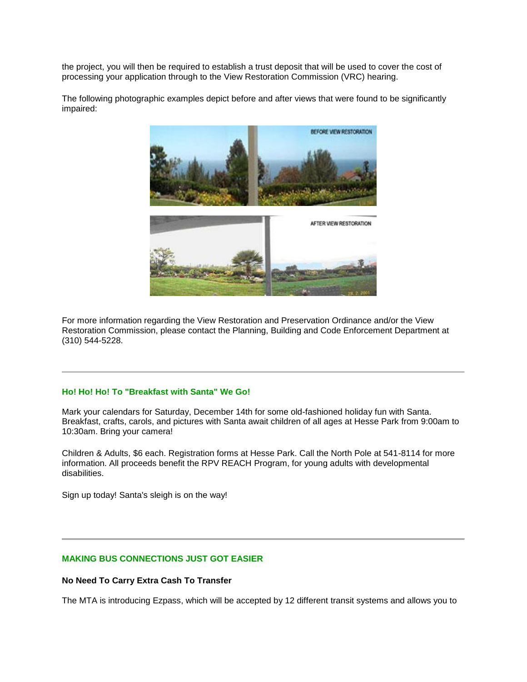the project, you will then be required to establish a trust deposit that will be used to cover the cost of processing your application through to the View Restoration Commission (VRC) hearing.

The following photographic examples depict before and after views that were found to be significantly impaired:



For more information regarding the View Restoration and Preservation Ordinance and/or the View Restoration Commission, please contact the Planning, Building and Code Enforcement Department at (310) 544-5228.

### **Ho! Ho! Ho! To "Breakfast with Santa" We Go!**

Mark your calendars for Saturday, December 14th for some old-fashioned holiday fun with Santa. Breakfast, crafts, carols, and pictures with Santa await children of all ages at Hesse Park from 9:00am to 10:30am. Bring your camera!

Children & Adults, \$6 each. Registration forms at Hesse Park. Call the North Pole at 541-8114 for more information. All proceeds benefit the RPV REACH Program, for young adults with developmental disabilities.

Sign up today! Santa's sleigh is on the way!

## **MAKING BUS CONNECTIONS JUST GOT EASIER**

### **No Need To Carry Extra Cash To Transfer**

The MTA is introducing Ezpass, which will be accepted by 12 different transit systems and allows you to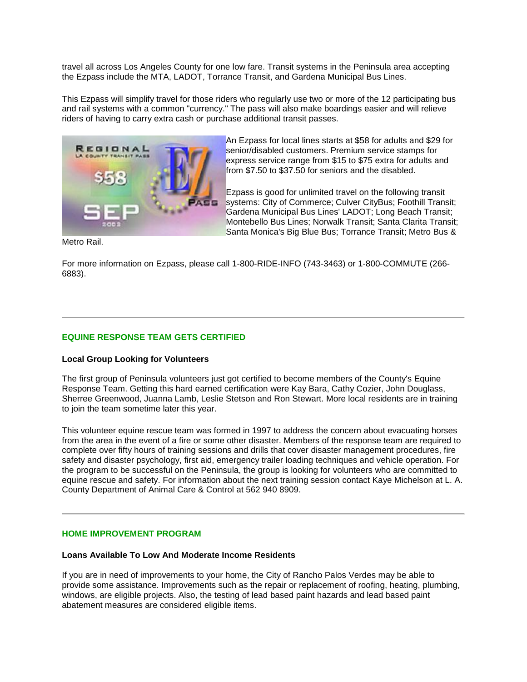travel all across Los Angeles County for one low fare. Transit systems in the Peninsula area accepting the Ezpass include the MTA, LADOT, Torrance Transit, and Gardena Municipal Bus Lines.

This Ezpass will simplify travel for those riders who regularly use two or more of the 12 participating bus and rail systems with a common "currency." The pass will also make boardings easier and will relieve riders of having to carry extra cash or purchase additional transit passes.



An Ezpass for local lines starts at \$58 for adults and \$29 for senior/disabled customers. Premium service stamps for express service range from \$15 to \$75 extra for adults and from \$7.50 to \$37.50 for seniors and the disabled.

Ezpass is good for unlimited travel on the following transit systems: City of Commerce; Culver CityBus; Foothill Transit; Gardena Municipal Bus Lines' LADOT; Long Beach Transit; Montebello Bus Lines; Norwalk Transit; Santa Clarita Transit; Santa Monica's Big Blue Bus; Torrance Transit; Metro Bus &

Metro Rail.

For more information on Ezpass, please call 1-800-RIDE-INFO (743-3463) or 1-800-COMMUTE (266- 6883).

## **EQUINE RESPONSE TEAM GETS CERTIFIED**

### **Local Group Looking for Volunteers**

The first group of Peninsula volunteers just got certified to become members of the County's Equine Response Team. Getting this hard earned certification were Kay Bara, Cathy Cozier, John Douglass, Sherree Greenwood, Juanna Lamb, Leslie Stetson and Ron Stewart. More local residents are in training to join the team sometime later this year.

This volunteer equine rescue team was formed in 1997 to address the concern about evacuating horses from the area in the event of a fire or some other disaster. Members of the response team are required to complete over fifty hours of training sessions and drills that cover disaster management procedures, fire safety and disaster psychology, first aid, emergency trailer loading techniques and vehicle operation. For the program to be successful on the Peninsula, the group is looking for volunteers who are committed to equine rescue and safety. For information about the next training session contact Kaye Michelson at L. A. County Department of Animal Care & Control at 562 940 8909.

### **HOME IMPROVEMENT PROGRAM**

### **Loans Available To Low And Moderate Income Residents**

If you are in need of improvements to your home, the City of Rancho Palos Verdes may be able to provide some assistance. Improvements such as the repair or replacement of roofing, heating, plumbing, windows, are eligible projects. Also, the testing of lead based paint hazards and lead based paint abatement measures are considered eligible items.